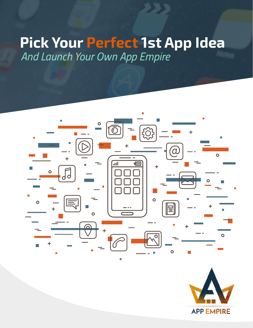# **Pick Your Perfect 1st App Idea** *And Launch Your Own App Empire*



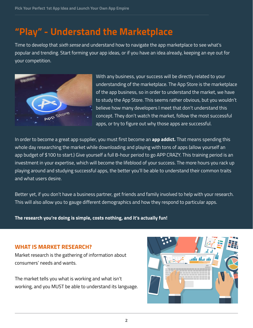## **"Play" - Understand the Marketplace**

Time to develop that *sixth sense* and understand how to navigate the app marketplace to see what's popular and trending. Start forming your app ideas, or if you have an idea already, keeping an eye out for your competition.



With any business, your success will be directly related to your understanding of the marketplace. The App Store is the marketplace of the app business, so in order to understand the market, we have to study the App Store. This seems rather obvious, but you wouldn't believe how many developers I meet that don't understand this concept. They don't watch the market, follow the most successful apps, or try to figure out why those apps are successful.

In order to become a great app supplier, you must first become an **app addict.** That means spending this whole day researching the market while downloading and playing with tons of apps (allow yourself an app budget of \$100 to start.) Give yourself a full 8-hour period to go APP CRAZY. This training period is an investment in your expertise, which will become the lifeblood of your success. The more hours you rack up playing around and studying successful apps, the better you'll be able to understand their common traits and what users desire.

Better yet, if you don't have a business partner, get friends and family involved to help with your research. This will also allow you to gauge different demographics and how they respond to particular apps.

**The research you're doing is simple, costs nothing, and it's actually fun!**

#### **What is Market Research?**

Market research is the gathering of information about consumers' needs and wants.

The market tells you what is working and what isn't working, and you MUST be able to understand its language.

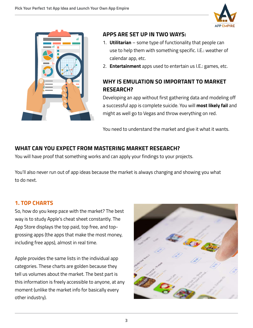



#### **Apps are set up in two ways:**

- 1. **Utilitarian** some type of functionality that people can use to help them with something specific. I.E.: weather of calendar app, etc.
- 2. **Entertainment** apps used to entertain us I.E.: games, etc.

## **Why is Emulation so Important to Market Research?**

Developing an app without first gathering data and modeling off a successful app is complete suicide. You will **most likely fail** and might as well go to Vegas and throw everything on red.

You need to understand the market and give it what it wants.

### **What Can You Expect from Mastering Market Research?**

You will have proof that something works and can apply your findings to your projects.

You'll also never run out of app ideas because the market is always changing and showing you what to do next.

#### **1. Top Charts**

So, how do you keep pace with the market? The best way is to study Apple's cheat sheet constantly. The App Store displays the top paid, top free, and topgrossing apps (the apps that make the most money, including free apps), almost in real time.

Apple provides the same lists in the individual app categories. These charts are golden because they tell us volumes about the market. The best part is this information is freely accessible to anyone, at any moment (unlike the market info for basically every other industry).

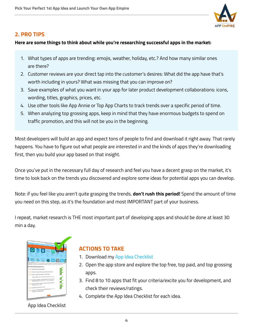

#### **2. Pro Tips**

#### **Here are some things to think about while you're researching successful apps in the market:**

- 1. What types of apps are trending: emojis, weather, holiday, etc.? And how many similar ones are there?
- 2. Customer reviews are your direct tap into the customer's desires: What did the app have that's worth including in yours? What was missing that you can improve on?
- 3. Save examples of what you want in your app for later product development collaborations: icons, wording, titles, graphics, prices, etc.
- 4. Use other tools like App Annie or Top App Charts to track trends over a specific period of time.
- 5. When analyzing top grossing apps, keep in mind that they have enormous budgets to spend on traffic promotion, and this will not be you in the beginning.

Most developers will build an app and expect tons of people to find and download it right away. That rarely happens. You have to figure out what people are interested in and the kinds of apps they're downloading first, then you build your app based on that insight.

Once you've put in the necessary full day of research and feel you have a decent grasp on the market, it's time to look back on the trends you discovered and explore some ideas for potential apps you can develop.

Note: if you feel like you aren't quite grasping the trends, **don't rush this period!** Spend the amount of time you need on this step, as it's the foundation and most IMPORTANT part of your business.

I repeat, market research is THE most important part of developing apps and should be done at least 30 min a day.



## **Actions to Take**

- 1. Download my [App Idea Checklist](http://appempire.com/wp-content/uploads/2016/07/App_Idea_Checklist.pdf)
- 2. Open the app store and explore the top free, top paid, and top grossing apps.
- 3. Find 8 to 10 apps that fit your criteria/excite you for development, and check their reviews/ratings.
- 4. Complete the App Idea Checklist for each idea.

App Idea Checklist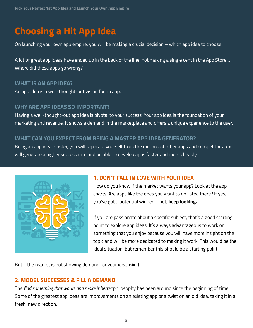## **Choosing a Hit App Idea**

On launching your own app empire, you will be making a crucial decision – which app idea to choose.

A lot of great app ideas have ended up in the back of the line, not making a single cent in the App Store… Where did these apps go wrong?

#### **WHAT IS AN APP IDEA?**

An app idea is a well-thought-out vision for an app.

#### **WHY ARE APP IDEAS SO IMPORTANT?**

Having a well-thought-out app idea is pivotal to your success. Your app idea is the foundation of your marketing and revenue. It shows a demand in the marketplace and offers a unique experience to the user.

#### **WHAT CAN YOU EXPECT FROM BEING A MASTER APP IDEA GENERATOR?**

Being an app idea master, you will separate yourself from the millions of other apps and competitors. You will generate a higher success rate and be able to develop apps faster and more cheaply.



#### **1. DON'T FALL IN LOVE WITH YOUR IDEA**

How do you know if the market wants your app? Look at the app charts. Are apps like the ones you want to do listed there? If yes, you've got a potential winner. If not, **keep looking.**

If you are passionate about a specific subject, that's a good starting point to explore app ideas. It's always advantageous to work on something that you enjoy because you will have more insight on the topic and will be more dedicated to making it work. This would be the ideal situation, but remember this should be a starting point.

But if the market is not showing demand for your idea, **nix it.**

#### **2. MODEL SUCCESSES & FILL A DEMAND**

The *find something that works and make it better* philosophy has been around since the beginning of time. Some of the greatest app ideas are improvements on an existing app or a twist on an old idea, taking it in a fresh, new direction.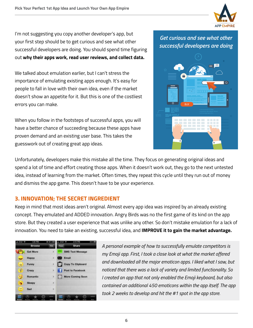

I'm not suggesting you copy another developer's app, but your first step should be to get curious and see what other successful developers are doing. You should spend time figuring out **why their apps work, read user reviews, and collect data.**

We talked about emulation earlier, but I can't stress the importance of emulating existing apps enough. It's easy for people to fall in love with their own idea, even if the market doesn't show an appetite for it. But this is one of the costliest errors you can make.

When you follow in the footsteps of successful apps, you will have a better chance of succeeding because these apps have proven demand and an existing user base. This takes the guesswork out of creating great app ideas.

## *Get curious and see what other successful developers are doing*



Unfortunately, developers make this mistake all the time. They focus on generating original ideas and spend a lot of time and effort creating those apps. When it doesn't work out, they go to the next untested idea, instead of learning from the market. Often times, they repeat this cycle until they run out of money and dismiss the app game. This doesn't have to be your experience.

## **3. INNOVATION; THE SECRET INGREDIENT**

Keep in mind that most ideas aren't original. Almost every app idea was inspired by an already existing concept. They emulated and ADDED innovation. Angry Birds was no the first game of its kind on the app store. But they created a user experience that was unlike any other. So don't mistake emulation for a lack of innovation. You need to take an existing, successful idea, and **IMPROVE it to gain the market advantage.**



*A personal example of how to successfully emulate competitors is my Emoji app. First, I took a close look at what the market offered and downloaded all the major emoticon apps. I liked what I saw, but noticed that there was a lack of variety and limited functionality. So I created an app that not only enabled the Emoji keyboard, but also contained an additional 450 emoticons within the app itself. The app took 2 weeks to develop and hit the #1 spot in the app store.*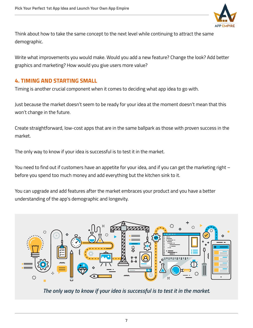

Think about how to take the same concept to the next level while continuing to attract the same demographic.

Write what improvements you would make. Would you add a new feature? Change the look? Add better graphics and marketing? How would you give users more value?

#### **4. TIMING AND STARTING SMALL**

Timing is another crucial component when it comes to deciding what app idea to go with.

Just because the market doesn't seem to be ready for your idea at the moment doesn't mean that this won't change in the future.

Create straightforward, low-cost apps that are in the same ballpark as those with proven success in the market.

The only way to know if your idea is successful is to test it in the market.

You need to find out if customers have an appetite for your idea, and if you can get the marketing right – before you spend too much money and add everything but the kitchen sink to it.

You can upgrade and add features after the market embraces your product and you have a better understanding of the app's demographic and longevity.



*The only way to know if your idea is successful is to test it in the market.*